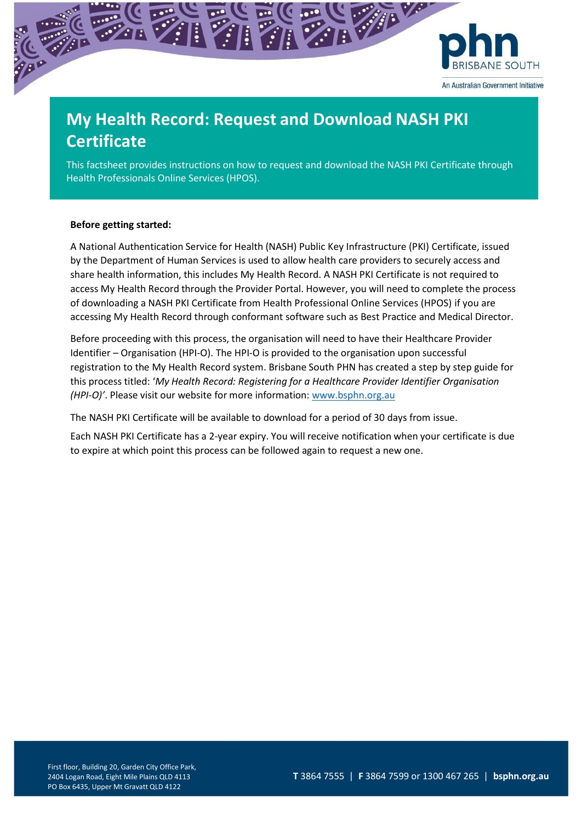

# **My Health Record: Request and Download NASH PKI Certificate**

This factsheet provides instructions on how to request and download the NASH PKI Certificate through Health Professionals Online Services (HPOS).

## **Before getting started:**

A National Authentication Service for Health (NASH) Public Key Infrastructure (PKI) Certificate, issued by the Department of Human Services is used to allow health care providers to securely access and share health information, this includes My Health Record. A NASH PKI Certificate is not required to access My Health Record through the Provider Portal. However, you will need to complete the process of downloading a NASH PKI Certificate from Health Professional Online Services (HPOS) if you are accessing My Health Record through conformant software such as Best Practice and Medical Director.

Before proceeding with this process, the organisation will need to have their Healthcare Provider Identifier – Organisation (HPI-O). The HPI-O is provided to the organisation upon successful registration to the My Health Record system. Brisbane South PHN has created a step by step guide for this process titled: '*My Health Record: Registering for a Healthcare Provider Identifier Organisation (HPI-O)'*. Please visit our website for more information: [www.bsphn.org.au](http://www.bsphn.org.au/)

The NASH PKI Certificate will be available to download for a period of 30 days from issue.

Each NASH PKI Certificate has a 2-year expiry. You will receive notification when your certificate is due to expire at which point this process can be followed again to request a new one.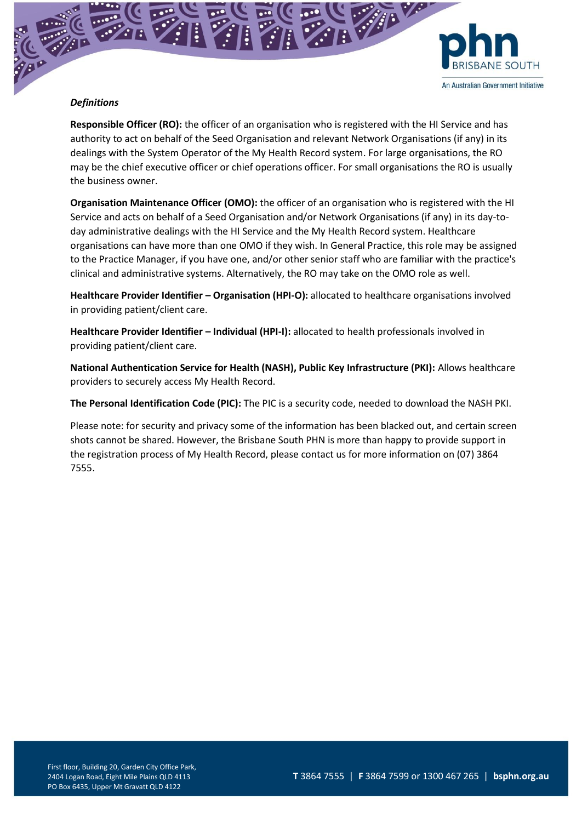

## *Definitions*

**Responsible Officer (RO):** the officer of an organisation who is registered with the HI Service and has authority to act on behalf of the Seed Organisation and relevant Network Organisations (if any) in its dealings with the System Operator of the My Health Record system. For large organisations, the RO may be the chief executive officer or chief operations officer. For small organisations the RO is usually the business owner.

**Organisation Maintenance Officer (OMO):** the officer of an organisation who is registered with the HI Service and acts on behalf of a Seed Organisation and/or Network Organisations (if any) in its day-today administrative dealings with the HI Service and the My Health Record system. Healthcare organisations can have more than one OMO if they wish. In General Practice, this role may be assigned to the Practice Manager, if you have one, and/or other senior staff who are familiar with the practice's clinical and administrative systems. Alternatively, the RO may take on the OMO role as well.

**Healthcare Provider Identifier – Organisation (HPI-O):** allocated to healthcare organisations involved in providing patient/client care.

**Healthcare Provider Identifier – Individual (HPI-I):** allocated to health professionals involved in providing patient/client care.

**National Authentication Service for Health (NASH), Public Key Infrastructure (PKI):** Allows healthcare providers to securely access My Health Record.

**The Personal Identification Code (PIC):** The PIC is a security code, needed to download the NASH PKI.

Please note: for security and privacy some of the information has been blacked out, and certain screen shots cannot be shared. However, the Brisbane South PHN is more than happy to provide support in the registration process of My Health Record, please contact us for more information on (07) 3864 7555.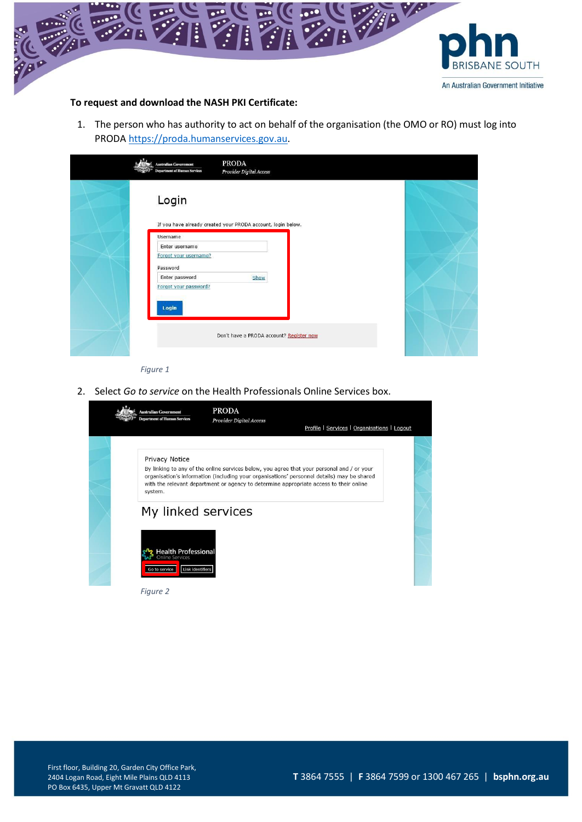

## **To request and download the NASH PKI Certificate:**

1. The person who has authority to act on behalf of the organisation (the OMO or RO) must log into PROD[A https://proda.humanservices.gov.au.](https://proda.humanservices.gov.au/)

| <b>Australian Government</b><br><b>Department of Human Services</b> | <b>PRODA</b><br>Provider Digital Access                      |  |
|---------------------------------------------------------------------|--------------------------------------------------------------|--|
| Login                                                               | If you have already created your PRODA account, login below. |  |
| Username<br>Enter username<br>Forgot your username?<br>Password     |                                                              |  |
| Enter password<br>Forgot your password?<br>Login                    | Show                                                         |  |
|                                                                     | Don't have a PRODA account? Register now                     |  |

*Figure 1*

2. Select *Go to service* on the Health Professionals Online Services box.



*Figure 2*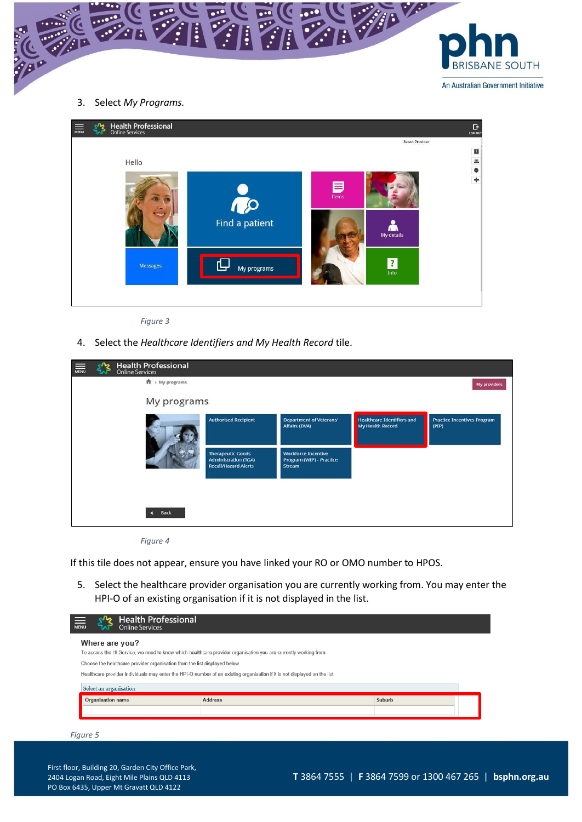

3. Select *My Programs.*



*Figure 3*

4. Select the *Healthcare Identifiers and My Health Record* tile.

| 赢 | Health Professional<br>Online Services |                                                                                        |                                                                  |                                                       |                                             |
|---|----------------------------------------|----------------------------------------------------------------------------------------|------------------------------------------------------------------|-------------------------------------------------------|---------------------------------------------|
|   | $\hat{\mathbf{H}}$ > My programs       |                                                                                        |                                                                  |                                                       | My providers                                |
|   | My programs                            |                                                                                        |                                                                  |                                                       |                                             |
|   |                                        | <b>Authorised Recipient</b>                                                            | <b>Department of Veterans'</b><br>Affairs (DVA)                  | <b>Healthcare Identifiers and</b><br>My Health Record | <b>Practice Incentives Program</b><br>(PIP) |
|   |                                        | <b>Therapeutic Goods</b><br><b>Administration (TGA)</b><br><b>Recall/Hazard Alerts</b> | <b>Workforce Incentive</b><br>Program (WIP) - Practice<br>Stream |                                                       |                                             |
|   |                                        |                                                                                        |                                                                  |                                                       |                                             |
|   | <b>Back</b>                            |                                                                                        |                                                                  |                                                       |                                             |

*Figure 4*

If this tile does not appear, ensure you have linked your RO or OMO number to HPOS.

5. Select the healthcare provider organisation you are currently working from. You may enter the HPI-O of an existing organisation if it is not displayed in the list.

| <b>Online Services</b><br><b>MENU</b>                                      | <b>Health Professional</b>                                                                                                 |        |  |
|----------------------------------------------------------------------------|----------------------------------------------------------------------------------------------------------------------------|--------|--|
| Where are you?                                                             |                                                                                                                            |        |  |
|                                                                            | To access the HI Service, we need to know which healthcare provider organisation you are currently working from.           |        |  |
| Choose the healthcare provider organisation from the list displayed below. |                                                                                                                            |        |  |
|                                                                            | Healthcare provider individuals may enter the HPI-O number of an existing organisation if it is not displayed on the list. |        |  |
| Select an organisation                                                     |                                                                                                                            |        |  |
|                                                                            |                                                                                                                            |        |  |
| Organisation name                                                          | <b>Address</b>                                                                                                             | Suburb |  |

*Figure 5*

First floor, Building 20, Garden City Office Park, 2404 Logan Road, Eight Mile Plains QLD 4113 PO Box 6435, Upper Mt Gravatt QLD 4122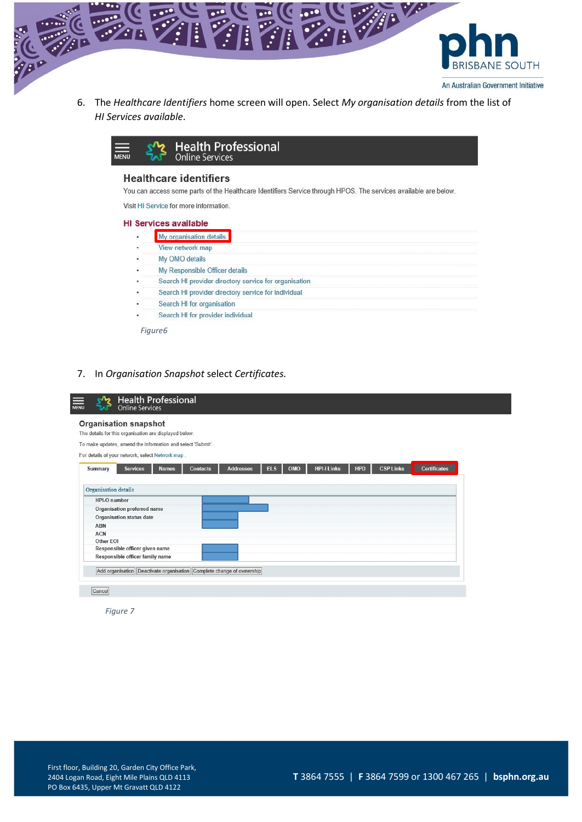

6. The *Healthcare Identifiers* home screen will open. Select *My organisation details* from the list of *HI Services available*.



## **Healthcare identifiers**

You can access some parts of the Healthcare Identifiers Service through HPOS. The services available are below.

Visit HI Service for more information.

#### **HI Services available**

| My organisation details                               |
|-------------------------------------------------------|
| View network map                                      |
| My OMO details                                        |
| My Responsible Officer details                        |
| Search HI provider directory service for organisation |
| Search HI provider directory service for individual   |
| Search HI for organisation                            |
| Search HI for provider individual                     |

*Figure6*

7. In *Organisation Snapshot* select *Certificates.*

| The details for this organisation are displayed below.      |                                                                                                                                         |
|-------------------------------------------------------------|-----------------------------------------------------------------------------------------------------------------------------------------|
| To make updates, amend the information and select 'Submit'. |                                                                                                                                         |
| For details of your network, select Network map.            |                                                                                                                                         |
|                                                             |                                                                                                                                         |
| Summary<br><b>Services</b><br><b>Names</b>                  | <b>Certificates</b><br><b>CSP Links</b><br><b>HPI-I Links</b><br><b>ELS</b><br><b>HPD</b><br><b>Addresses</b><br>OMO<br><b>Contacts</b> |
|                                                             |                                                                                                                                         |
| <b>Organisation</b> details                                 |                                                                                                                                         |
| HPI-O number                                                |                                                                                                                                         |
|                                                             |                                                                                                                                         |
| Organisation preferred name                                 |                                                                                                                                         |
|                                                             |                                                                                                                                         |
| <b>Organisation status date</b>                             |                                                                                                                                         |
| ABN                                                         |                                                                                                                                         |
| <b>ACN</b>                                                  |                                                                                                                                         |
| Other EOI                                                   |                                                                                                                                         |
| Responsible officer given name                              |                                                                                                                                         |

*Figure 7*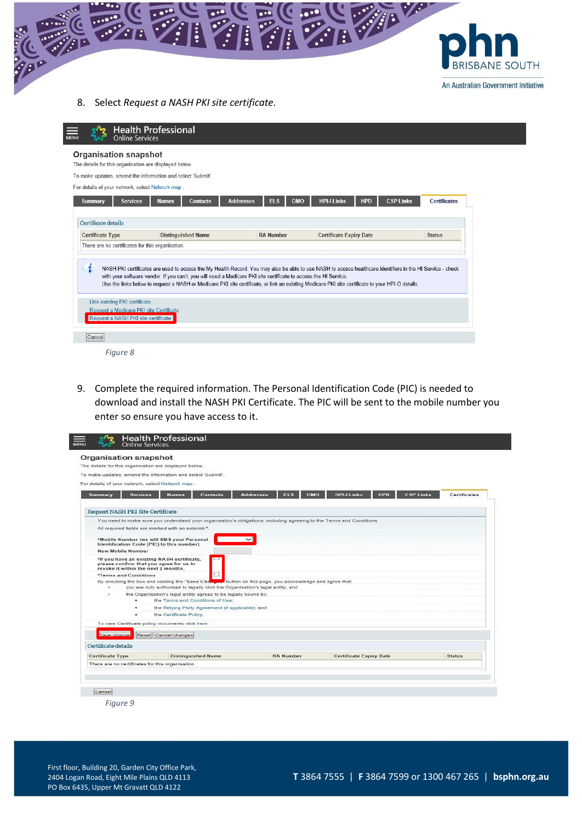

8. Select *Request a NASH PKI site certificate.*

| <b>Organisation snapshot</b><br>The details for this organisation are displayed below.<br>To make updates, amend the information and select 'Submit'.                                                                                                                                                                                                                                                                                                                                                                                                                       |                                |                     |
|-----------------------------------------------------------------------------------------------------------------------------------------------------------------------------------------------------------------------------------------------------------------------------------------------------------------------------------------------------------------------------------------------------------------------------------------------------------------------------------------------------------------------------------------------------------------------------|--------------------------------|---------------------|
|                                                                                                                                                                                                                                                                                                                                                                                                                                                                                                                                                                             |                                |                     |
|                                                                                                                                                                                                                                                                                                                                                                                                                                                                                                                                                                             |                                |                     |
|                                                                                                                                                                                                                                                                                                                                                                                                                                                                                                                                                                             |                                |                     |
| For details of your network, select Network map.                                                                                                                                                                                                                                                                                                                                                                                                                                                                                                                            |                                |                     |
| <b>HPI-I Links</b><br>EL <sub>S</sub><br>OMO<br><b>Services</b><br><b>Names</b><br><b>Addresses</b><br><b>Summary</b><br>Contacts                                                                                                                                                                                                                                                                                                                                                                                                                                           | <b>HPD</b><br><b>CSP Links</b> | <b>Certificates</b> |
|                                                                                                                                                                                                                                                                                                                                                                                                                                                                                                                                                                             |                                |                     |
| Certificate details                                                                                                                                                                                                                                                                                                                                                                                                                                                                                                                                                         |                                |                     |
| <b>Distinguished Name</b><br><b>RA Number</b><br><b>Certificate Expiry Date</b><br><b>Certificate Type</b>                                                                                                                                                                                                                                                                                                                                                                                                                                                                  |                                | <b>Status</b>       |
| There are no certificates for this organisation.                                                                                                                                                                                                                                                                                                                                                                                                                                                                                                                            |                                |                     |
| i<br>NASH PKI certificates are used to access the My Health Record. You may also be able to use NASH to access healthcare identifiers in the HI Service - check<br>with your software vendor. If you can't, you will need a Medicare PKI site certificate to access the HI Service.<br>Use the links below to request a NASH or Medicare PKI site certificate, or link an existing Medicare PKI site certificate to your HPI-O details.<br><b>Link existing PKI certificate</b><br>Request a Medicare PKI site Certificate<br>Request a NASH PKI site certificate<br>Cancel |                                |                     |



9. Complete the required information. The Personal Identification Code (PIC) is needed to download and install the NASH PKI Certificate. The PIC will be sent to the mobile number you enter so ensure you have access to it.

| <b>Organisation snapshot</b><br>The details for this organisation are displayed below. |                                                                                                                       |                                       |                                                     |                     |
|----------------------------------------------------------------------------------------|-----------------------------------------------------------------------------------------------------------------------|---------------------------------------|-----------------------------------------------------|---------------------|
|                                                                                        | To make updates, amend the information and select 'Submit'.                                                           |                                       |                                                     |                     |
| For details of your network, select Network map.                                       |                                                                                                                       |                                       |                                                     |                     |
|                                                                                        |                                                                                                                       |                                       |                                                     |                     |
| <b>Services</b><br><b>Summary</b>                                                      | <b>Names</b><br><b>Contacts</b>                                                                                       | <b>ELS</b><br>OMO<br><b>Addresses</b> | <b>HPD</b><br><b>HPI-LLinks</b><br><b>CSP Links</b> | <b>Certificates</b> |
| Request NASH PKI Site Certificate                                                      |                                                                                                                       |                                       |                                                     |                     |
|                                                                                        | You need to make sure you understand your organisation's obligations, including agreeing to the Terms and Conditions. |                                       |                                                     |                     |
|                                                                                        | All required fields are marked with an asterisk *.                                                                    |                                       |                                                     |                     |
| Identification Code (PIC) to this number)                                              | *Mobile Number (we will SMS your Personal                                                                             |                                       |                                                     |                     |
| <b>New Mobile Number</b>                                                               |                                                                                                                       |                                       |                                                     |                     |
| please confirm that you agree for us to<br>revoke it within the next 2 months.         | *If you have an existing NASH certificate,<br>□                                                                       |                                       |                                                     |                     |
| *Terms and Conditions                                                                  | П                                                                                                                     |                                       |                                                     |                     |
|                                                                                        | By checking the box and clicking the "Save Changes" button on this page, you acknowledge and agree that:              |                                       |                                                     |                     |
| ٠                                                                                      | you are duly authorised to legally bind the Organisation's legal entity; and                                          |                                       |                                                     |                     |
| $\sim$<br>٠                                                                            | the Organisation's legal entity agrees to be legally bound by:<br>the Terms and Conditions of Use;                    |                                       |                                                     |                     |
| ٠                                                                                      | the Relying Party Agreement (if applicable); and                                                                      |                                       |                                                     |                     |
| ×.                                                                                     | the Certificate Policy.                                                                                               |                                       |                                                     |                     |
|                                                                                        | To view Certificate policy documents click here                                                                       |                                       |                                                     |                     |
|                                                                                        |                                                                                                                       |                                       |                                                     |                     |
| Save change:                                                                           | Reset Cancel changes                                                                                                  |                                       |                                                     |                     |
| Certificate details                                                                    |                                                                                                                       |                                       |                                                     |                     |
|                                                                                        |                                                                                                                       | <b>RA Number</b>                      |                                                     | <b>Status</b>       |
| <b>Certificate Type</b>                                                                | <b>Distinguished Name</b>                                                                                             |                                       | <b>Certificate Expiry Date</b>                      |                     |
| There are no certificates for this organisation.                                       |                                                                                                                       |                                       |                                                     |                     |
|                                                                                        |                                                                                                                       |                                       |                                                     |                     |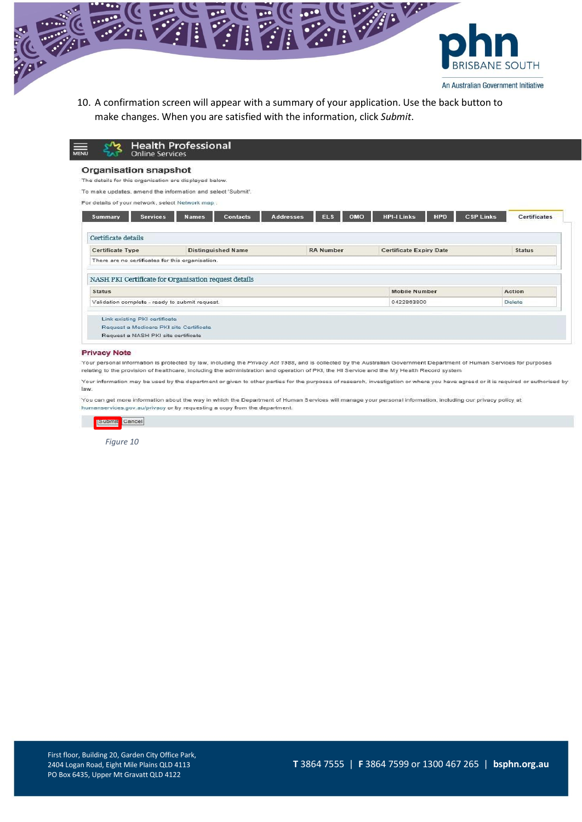

10. A confirmation screen will appear with a summary of your application. Use the back button to make changes. When you are satisfied with the information, click *Submit*.

| The details for this organisation are displayed below.<br>To make updates, amend the information and select 'Submit'. |                                                                                                                                                             |                                  |                                         |
|-----------------------------------------------------------------------------------------------------------------------|-------------------------------------------------------------------------------------------------------------------------------------------------------------|----------------------------------|-----------------------------------------|
|                                                                                                                       |                                                                                                                                                             |                                  |                                         |
|                                                                                                                       |                                                                                                                                                             |                                  |                                         |
| For details of your network, select Network map :                                                                     |                                                                                                                                                             |                                  |                                         |
| <b>Contacts</b><br><b>Names</b>                                                                                       | <b>ELS</b>                                                                                                                                                  | <b>HPI-I Links</b><br><b>HPD</b> | <b>CSP Links</b><br><b>Certificates</b> |
|                                                                                                                       |                                                                                                                                                             |                                  |                                         |
|                                                                                                                       |                                                                                                                                                             |                                  |                                         |
| <b>Distinguished Name</b>                                                                                             | <b>RA Number</b>                                                                                                                                            | <b>Certificate Expiry Date</b>   | <b>Status</b>                           |
|                                                                                                                       |                                                                                                                                                             |                                  |                                         |
|                                                                                                                       |                                                                                                                                                             |                                  |                                         |
|                                                                                                                       |                                                                                                                                                             | <b>Mobile Number</b>             | Action                                  |
|                                                                                                                       |                                                                                                                                                             | 0422863800                       | Delete                                  |
|                                                                                                                       |                                                                                                                                                             |                                  |                                         |
|                                                                                                                       | There are no certificates for this organisation.<br>NASH PKI Certificate for Organisation request details<br>Validation complete - ready to submit request. | <b>Addresses</b>                 | OMO                                     |

#### **Privacy Note**

Your personal information is protected by law, including the Privacy Act 1988, and is collected by the Australian Government Department of Human Services for purposes relating to the provision of healthcare, including the administration and operation of PKI, the HI Service and the My Health Record system

Your information may be used by the department or given to other parties for the purposes of research, investigation or where you have agreed or it is required or authorised by law.

You can get more information about the way in which the Department of Human Services will manage your personal information, including our privacy policy at humanservices.gov.au/privacy or by requesting a copy from the department.



*Figure 10*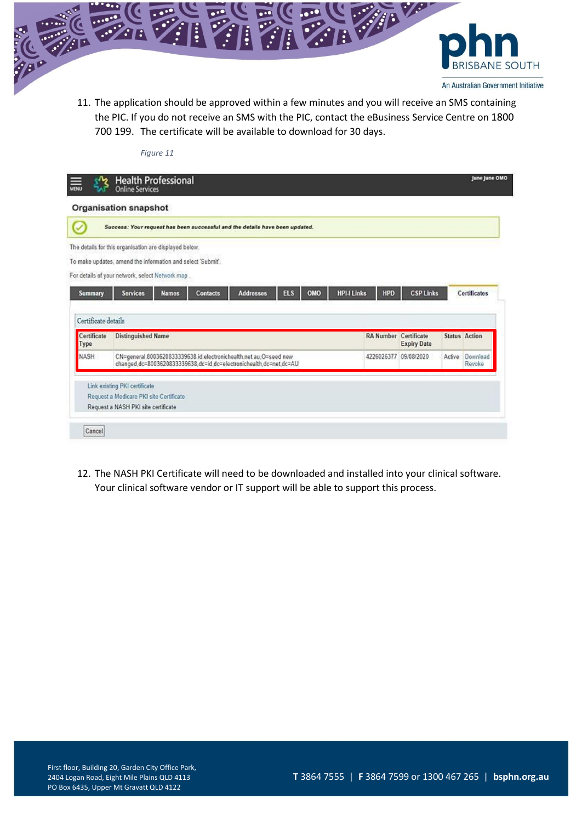

*Figure 11*

11. The application should be approved within a few minutes and you will receive an SMS containing the PIC. If you do not receive an SMS with the PIC, contact the eBusiness Service Centre on 1800 700 199. The certificate will be available to download for 30 days.

|                                    | Organisation snapshot                                                                                                                   |                              |                    |        |                      |
|------------------------------------|-----------------------------------------------------------------------------------------------------------------------------------------|------------------------------|--------------------|--------|----------------------|
| U                                  | Success: Your request has been successful and the details have been updated.                                                            |                              |                    |        |                      |
|                                    | The details for this organisation are displayed below.                                                                                  |                              |                    |        |                      |
|                                    | To make updates, amend the information and select 'Submit'.                                                                             |                              |                    |        |                      |
|                                    | For details of your network, select Network map .                                                                                       |                              |                    |        |                      |
| Summary                            | OMO<br><b>HPI-I Links</b><br><b>ELS</b><br><b>Addresses</b><br><b>Services</b><br><b>Names</b><br><b>Contacts</b>                       | <b>HPD</b>                   | <b>CSP Links</b>   |        | <b>Certificates</b>  |
|                                    |                                                                                                                                         |                              |                    |        |                      |
| Certificate details                |                                                                                                                                         |                              |                    |        |                      |
|                                    |                                                                                                                                         | <b>RA Number Certificate</b> | <b>Expiry Date</b> |        | <b>Status Action</b> |
|                                    | <b>Distinguished Name</b>                                                                                                               |                              |                    |        |                      |
| Certificate<br>Type<br><b>NASH</b> | CN=general.8003620833339638.id.electronichealth.net.au.O=seed.new<br>changed.dc=8003620833339638.dc=id.dc=electronichealth.dc=net.dc=AU | 4226026377 09/08/2020        |                    | Active | Download<br>Revoke   |
|                                    |                                                                                                                                         |                              |                    |        |                      |
|                                    | Link existing PKI certificate<br>Request a Medicare PKI site Certificate                                                                |                              |                    |        |                      |

12. The NASH PKI Certificate will need to be downloaded and installed into your clinical software. Your clinical software vendor or IT support will be able to support this process.